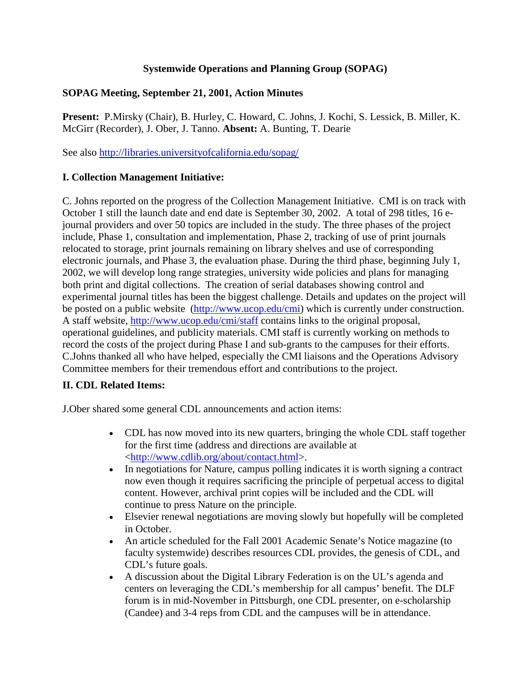## **Systemwide Operations and Planning Group (SOPAG)**

# **SOPAG Meeting, September 21, 2001, Action Minutes**

**Present:** P.Mirsky (Chair), B. Hurley, C. Howard, C. Johns, J. Kochi, S. Lessick, B. Miller, K. McGirr (Recorder), J. Ober, J. Tanno. **Absent:** A. Bunting, T. Dearie

See also http://libraries.universityofcalifornia.edu/sopag/

# **I. Collection Management Initiative:**

C. Johns reported on the progress of the Collection Management Initiative. CMI is on track with October 1 still the launch date and end date is September 30, 2002. A total of 298 titles, 16 ejournal providers and over 50 topics are included in the study. The three phases of the project include, Phase 1, consultation and implementation, Phase 2, tracking of use of print journals relocated to storage, print journals remaining on library shelves and use of corresponding electronic journals, and Phase 3, the evaluation phase. During the third phase, beginning July 1, 2002, we will develop long range strategies, university wide policies and plans for managing both print and digital collections. The creation of serial databases showing control and experimental journal titles has been the biggest challenge. Details and updates on the project will be posted on a public website [\(http://www.ucop.edu/cmi\)](http://www.ucop.edu/cmi) which is currently under construction. A staff website,<http://www.ucop.edu/cmi/staff> contains links to the original proposal, operational guidelines, and publicity materials. CMI staff is currently working on methods to record the costs of the project during Phase I and sub-grants to the campuses for their efforts. C.Johns thanked all who have helped, especially the CMI liaisons and the Operations Advisory Committee members for their tremendous effort and contributions to the project.

### **II. CDL Related Items:**

J.Ober shared some general CDL announcements and action items:

- CDL has now moved into its new quarters, bringing the whole CDL staff together for the first time (address and directions are available at [<http://www.cdlib.org/about/contact.html>](http://www.cdlib.org/about/contact.html).
- In negotiations for Nature, campus polling indicates it is worth signing a contract now even though it requires sacrificing the principle of perpetual access to digital content. However, archival print copies will be included and the CDL will continue to press Nature on the principle.
- Elsevier renewal negotiations are moving slowly but hopefully will be completed in October.
- An article scheduled for the Fall 2001 Academic Senate's Notice magazine (to faculty systemwide) describes resources CDL provides, the genesis of CDL, and CDL's future goals.
- A discussion about the Digital Library Federation is on the UL's agenda and centers on leveraging the CDL's membership for all campus' benefit. The DLF forum is in mid-November in Pittsburgh, one CDL presenter, on e-scholarship (Candee) and 3-4 reps from CDL and the campuses will be in attendance.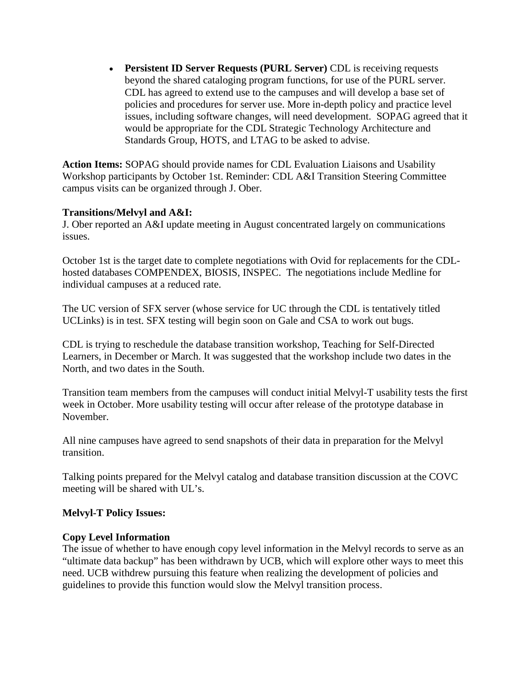• **Persistent ID Server Requests (PURL Server)** CDL is receiving requests beyond the shared cataloging program functions, for use of the PURL server. CDL has agreed to extend use to the campuses and will develop a base set of policies and procedures for server use. More in-depth policy and practice level issues, including software changes, will need development. SOPAG agreed that it would be appropriate for the CDL Strategic Technology Architecture and Standards Group, HOTS, and LTAG to be asked to advise.

**Action Items:** SOPAG should provide names for CDL Evaluation Liaisons and Usability Workshop participants by October 1st. Reminder: CDL A&I Transition Steering Committee campus visits can be organized through J. Ober.

#### **Transitions/Melvyl and A&I:**

J. Ober reported an A&I update meeting in August concentrated largely on communications issues.

October 1st is the target date to complete negotiations with Ovid for replacements for the CDLhosted databases COMPENDEX, BIOSIS, INSPEC. The negotiations include Medline for individual campuses at a reduced rate.

The UC version of SFX server (whose service for UC through the CDL is tentatively titled UCLinks) is in test. SFX testing will begin soon on Gale and CSA to work out bugs.

CDL is trying to reschedule the database transition workshop, Teaching for Self-Directed Learners, in December or March. It was suggested that the workshop include two dates in the North, and two dates in the South.

Transition team members from the campuses will conduct initial Melvyl-T usability tests the first week in October. More usability testing will occur after release of the prototype database in November.

All nine campuses have agreed to send snapshots of their data in preparation for the Melvyl transition.

Talking points prepared for the Melvyl catalog and database transition discussion at the COVC meeting will be shared with UL's.

#### **Melvyl-T Policy Issues:**

### **Copy Level Information**

The issue of whether to have enough copy level information in the Melvyl records to serve as an "ultimate data backup" has been withdrawn by UCB, which will explore other ways to meet this need. UCB withdrew pursuing this feature when realizing the development of policies and guidelines to provide this function would slow the Melvyl transition process.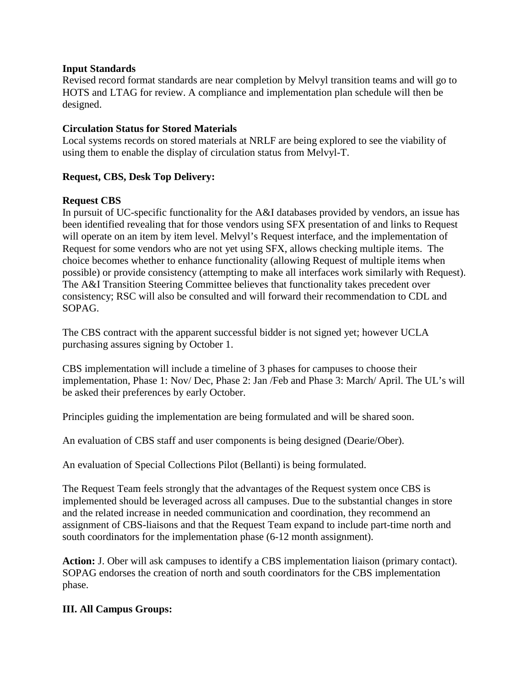#### **Input Standards**

Revised record format standards are near completion by Melvyl transition teams and will go to HOTS and LTAG for review. A compliance and implementation plan schedule will then be designed.

### **Circulation Status for Stored Materials**

Local systems records on stored materials at NRLF are being explored to see the viability of using them to enable the display of circulation status from Melvyl-T.

### **Request, CBS, Desk Top Delivery:**

#### **Request CBS**

In pursuit of UC-specific functionality for the A&I databases provided by vendors, an issue has been identified revealing that for those vendors using SFX presentation of and links to Request will operate on an item by item level. Melvyl's Request interface, and the implementation of Request for some vendors who are not yet using SFX, allows checking multiple items. The choice becomes whether to enhance functionality (allowing Request of multiple items when possible) or provide consistency (attempting to make all interfaces work similarly with Request). The A&I Transition Steering Committee believes that functionality takes precedent over consistency; RSC will also be consulted and will forward their recommendation to CDL and SOPAG.

The CBS contract with the apparent successful bidder is not signed yet; however UCLA purchasing assures signing by October 1.

CBS implementation will include a timeline of 3 phases for campuses to choose their implementation, Phase 1: Nov/ Dec, Phase 2: Jan /Feb and Phase 3: March/ April. The UL's will be asked their preferences by early October.

Principles guiding the implementation are being formulated and will be shared soon.

An evaluation of CBS staff and user components is being designed (Dearie/Ober).

An evaluation of Special Collections Pilot (Bellanti) is being formulated.

The Request Team feels strongly that the advantages of the Request system once CBS is implemented should be leveraged across all campuses. Due to the substantial changes in store and the related increase in needed communication and coordination, they recommend an assignment of CBS-liaisons and that the Request Team expand to include part-time north and south coordinators for the implementation phase (6-12 month assignment).

**Action:** J. Ober will ask campuses to identify a CBS implementation liaison (primary contact). SOPAG endorses the creation of north and south coordinators for the CBS implementation phase.

### **III. All Campus Groups:**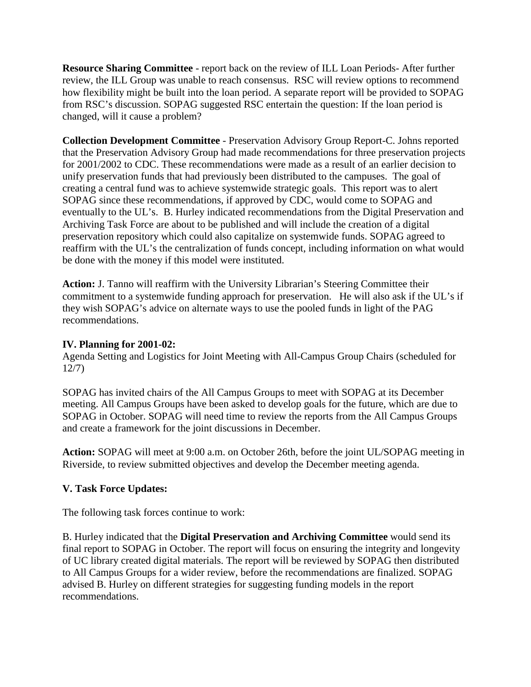**Resource Sharing Committee** - report back on the review of ILL Loan Periods- After further review, the ILL Group was unable to reach consensus. RSC will review options to recommend how flexibility might be built into the loan period. A separate report will be provided to SOPAG from RSC's discussion. SOPAG suggested RSC entertain the question: If the loan period is changed, will it cause a problem?

**Collection Development Committee** - Preservation Advisory Group Report-C. Johns reported that the Preservation Advisory Group had made recommendations for three preservation projects for 2001/2002 to CDC. These recommendations were made as a result of an earlier decision to unify preservation funds that had previously been distributed to the campuses. The goal of creating a central fund was to achieve systemwide strategic goals. This report was to alert SOPAG since these recommendations, if approved by CDC, would come to SOPAG and eventually to the UL's. B. Hurley indicated recommendations from the Digital Preservation and Archiving Task Force are about to be published and will include the creation of a digital preservation repository which could also capitalize on systemwide funds. SOPAG agreed to reaffirm with the UL's the centralization of funds concept, including information on what would be done with the money if this model were instituted.

**Action:** J. Tanno will reaffirm with the University Librarian's Steering Committee their commitment to a systemwide funding approach for preservation. He will also ask if the UL's if they wish SOPAG's advice on alternate ways to use the pooled funds in light of the PAG recommendations.

### **IV. Planning for 2001-02:**

Agenda Setting and Logistics for Joint Meeting with All-Campus Group Chairs (scheduled for 12/7)

SOPAG has invited chairs of the All Campus Groups to meet with SOPAG at its December meeting. All Campus Groups have been asked to develop goals for the future, which are due to SOPAG in October. SOPAG will need time to review the reports from the All Campus Groups and create a framework for the joint discussions in December.

**Action:** SOPAG will meet at 9:00 a.m. on October 26th, before the joint UL/SOPAG meeting in Riverside, to review submitted objectives and develop the December meeting agenda.

### **V. Task Force Updates:**

The following task forces continue to work:

B. Hurley indicated that the **Digital Preservation and Archiving Committee** would send its final report to SOPAG in October. The report will focus on ensuring the integrity and longevity of UC library created digital materials. The report will be reviewed by SOPAG then distributed to All Campus Groups for a wider review, before the recommendations are finalized. SOPAG advised B. Hurley on different strategies for suggesting funding models in the report recommendations.